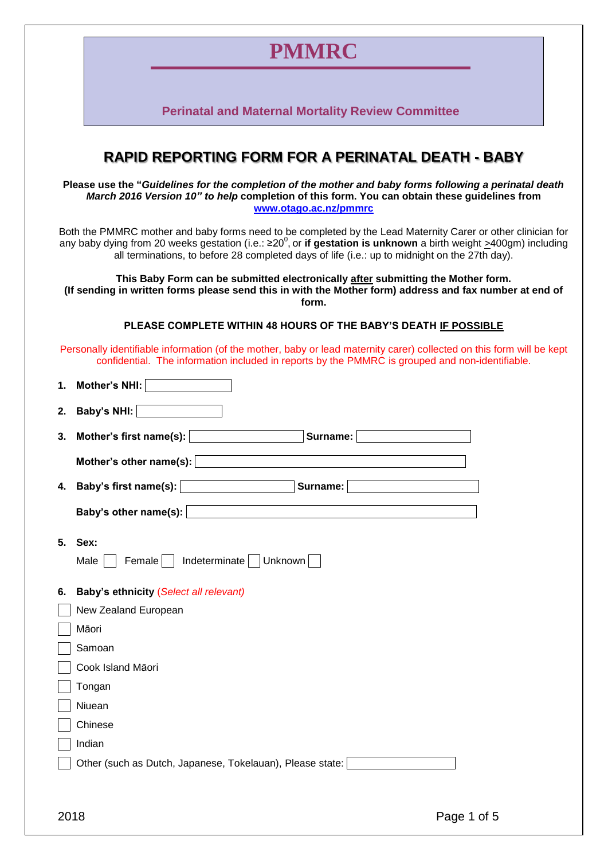## **PMMRC**

**Perinatal and Maternal Mortality Review Committee**

## **RAPID REPORTING FORM FOR A PERINATAL DEATH - BABY**

**Please use the "***Guidelines for the completion of the mother and baby forms following a perinatal death March 2016 Version 10" to help* **completion of this form. You can obtain these guidelines from [www.otago.ac.nz/pmmrc](http://www.otago.ac.nz/pmmrc)**

Both the PMMRC mother and baby forms need to be completed by the Lead Maternity Carer or other clinician for any baby dying from 20 weeks gestation (i.e.: ≥20<sup>0</sup>, or **if gestation is unknown** a birth weight <u>></u>400gm) including all terminations, to before 28 completed days of life (i.e.: up to midnight on the 27th day).

**This Baby Form can be submitted electronically after submitting the Mother form. (If sending in written forms please send this in with the Mother form) address and fax number at end of form.**

**PLEASE COMPLETE WITHIN 48 HOURS OF THE BABY'S DEATH IF POSSIBLE**

Personally identifiable information (of the mother, baby or lead maternity carer) collected on this form will be kept confidential. The information included in reports by the PMMRC is grouped and non-identifiable.

| 1. | Mother's NHI:                                                  |
|----|----------------------------------------------------------------|
| 2. | Baby's NHI:                                                    |
| 3. | Mother's first name(s): $\vert$<br>Surname:                    |
|    | Mother's other name(s):                                        |
|    | 4. Baby's first name(s):   <b>Example 2018</b><br>Surname:     |
|    | Baby's other name(s):                                          |
| 5. | Sex:<br>$\mathsf{Female} \ \Box$ Indeterminate Unknown<br>Male |
| 6. | Baby's ethnicity (Select all relevant)                         |
|    | New Zealand European                                           |
|    | Māori                                                          |
|    | Samoan                                                         |
|    | Cook Island Māori                                              |
|    | Tongan                                                         |
|    | Niuean                                                         |
|    | Chinese                                                        |
|    | Indian                                                         |
|    | Other (such as Dutch, Japanese, Tokelauan), Please state:      |
|    |                                                                |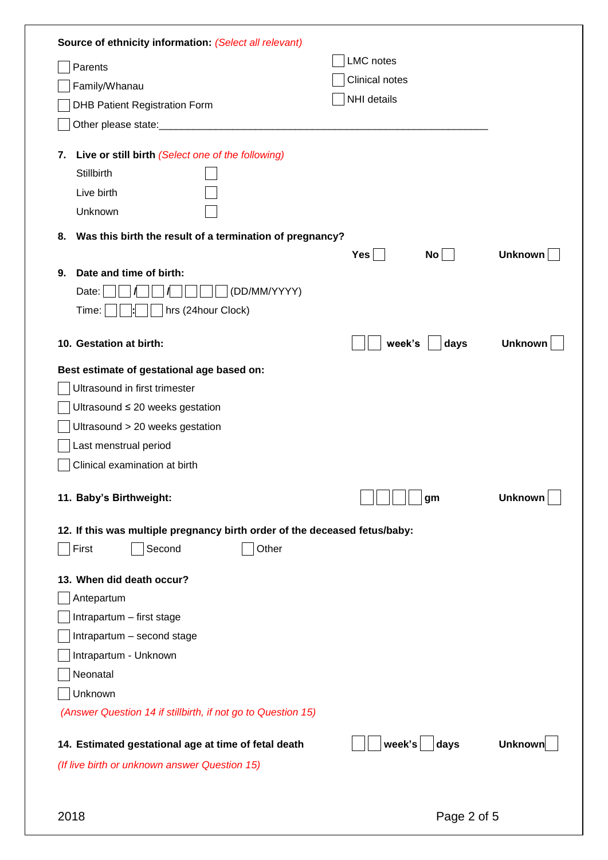| Parents                                                                    | LMC notes      |                |
|----------------------------------------------------------------------------|----------------|----------------|
| Family/Whanau                                                              | Clinical notes |                |
| <b>DHB Patient Registration Form</b>                                       | NHI details    |                |
|                                                                            |                |                |
|                                                                            |                |                |
| Live or still birth (Select one of the following)<br>7.                    |                |                |
| Stillbirth                                                                 |                |                |
| Live birth                                                                 |                |                |
| Unknown                                                                    |                |                |
| Was this birth the result of a termination of pregnancy?<br>8.             |                |                |
|                                                                            | No<br>Yes      | <b>Unknown</b> |
| Date and time of birth:<br>9.                                              |                |                |
| (DD/MM/YYYY)<br>Date:                                                      |                |                |
| hrs (24hour Clock)<br>Time:                                                |                |                |
| 10. Gestation at birth:                                                    | week's<br>days | <b>Unknown</b> |
| Best estimate of gestational age based on:                                 |                |                |
| Ultrasound in first trimester                                              |                |                |
| Ultrasound ≤ 20 weeks gestation                                            |                |                |
| Ultrasound > 20 weeks gestation                                            |                |                |
| Last menstrual period                                                      |                |                |
| Clinical examination at birth                                              |                |                |
|                                                                            |                |                |
| 11. Baby's Birthweight:                                                    | gm             | <b>Unknown</b> |
| 12. If this was multiple pregnancy birth order of the deceased fetus/baby: |                |                |
| Second<br>Other<br>First                                                   |                |                |
| 13. When did death occur?                                                  |                |                |
| Antepartum                                                                 |                |                |
| Intrapartum - first stage                                                  |                |                |
| Intrapartum - second stage                                                 |                |                |
| Intrapartum - Unknown                                                      |                |                |
| Neonatal                                                                   |                |                |
| Unknown                                                                    |                |                |
| (Answer Question 14 if stillbirth, if not go to Question 15)               |                |                |
|                                                                            | week's<br>days | <b>Unknown</b> |
| 14. Estimated gestational age at time of fetal death                       |                |                |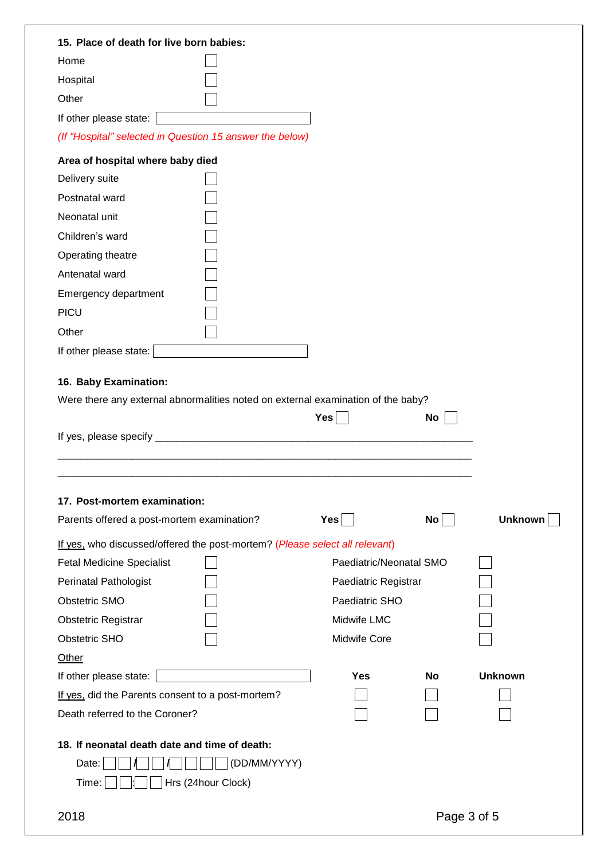| 15. Place of death for live born babies:                                         |                         |    |                |  |  |  |  |  |  |  |
|----------------------------------------------------------------------------------|-------------------------|----|----------------|--|--|--|--|--|--|--|
| Home                                                                             |                         |    |                |  |  |  |  |  |  |  |
| Hospital                                                                         |                         |    |                |  |  |  |  |  |  |  |
| Other                                                                            |                         |    |                |  |  |  |  |  |  |  |
| If other please state:                                                           |                         |    |                |  |  |  |  |  |  |  |
| (If "Hospital" selected in Question 15 answer the below)                         |                         |    |                |  |  |  |  |  |  |  |
| Area of hospital where baby died                                                 |                         |    |                |  |  |  |  |  |  |  |
| Delivery suite                                                                   |                         |    |                |  |  |  |  |  |  |  |
| Postnatal ward                                                                   |                         |    |                |  |  |  |  |  |  |  |
| Neonatal unit                                                                    |                         |    |                |  |  |  |  |  |  |  |
| Children's ward                                                                  |                         |    |                |  |  |  |  |  |  |  |
| Operating theatre                                                                |                         |    |                |  |  |  |  |  |  |  |
| Antenatal ward                                                                   |                         |    |                |  |  |  |  |  |  |  |
| Emergency department                                                             |                         |    |                |  |  |  |  |  |  |  |
| <b>PICU</b>                                                                      |                         |    |                |  |  |  |  |  |  |  |
| Other                                                                            |                         |    |                |  |  |  |  |  |  |  |
| If other please state:                                                           |                         |    |                |  |  |  |  |  |  |  |
|                                                                                  |                         |    |                |  |  |  |  |  |  |  |
| 16. Baby Examination:                                                            |                         |    |                |  |  |  |  |  |  |  |
| Were there any external abnormalities noted on external examination of the baby? |                         |    |                |  |  |  |  |  |  |  |
|                                                                                  | Yes                     | No |                |  |  |  |  |  |  |  |
|                                                                                  |                         |    |                |  |  |  |  |  |  |  |
|                                                                                  |                         |    |                |  |  |  |  |  |  |  |
|                                                                                  |                         |    |                |  |  |  |  |  |  |  |
| 17. Post-mortem examination:                                                     |                         |    |                |  |  |  |  |  |  |  |
| Parents offered a post-mortem examination?                                       | Yes                     | No | Unknown        |  |  |  |  |  |  |  |
| If yes, who discussed/offered the post-mortem? (Please select all relevant)      |                         |    |                |  |  |  |  |  |  |  |
| <b>Fetal Medicine Specialist</b>                                                 | Paediatric/Neonatal SMO |    |                |  |  |  |  |  |  |  |
| Perinatal Pathologist                                                            | Paediatric Registrar    |    |                |  |  |  |  |  |  |  |
| Obstetric SMO                                                                    | Paediatric SHO          |    |                |  |  |  |  |  |  |  |
| <b>Obstetric Registrar</b>                                                       | Midwife LMC             |    |                |  |  |  |  |  |  |  |
| <b>Obstetric SHO</b>                                                             | <b>Midwife Core</b>     |    |                |  |  |  |  |  |  |  |
| Other                                                                            |                         |    |                |  |  |  |  |  |  |  |
| If other please state:                                                           | <b>Yes</b>              | No | <b>Unknown</b> |  |  |  |  |  |  |  |
|                                                                                  |                         |    |                |  |  |  |  |  |  |  |
| If yes, did the Parents consent to a post-mortem?                                |                         |    |                |  |  |  |  |  |  |  |
| Death referred to the Coroner?                                                   |                         |    |                |  |  |  |  |  |  |  |
|                                                                                  |                         |    |                |  |  |  |  |  |  |  |
| 18. If neonatal death date and time of death:                                    |                         |    |                |  |  |  |  |  |  |  |
| (DD/MM/YYYY)<br>Date:                                                            |                         |    |                |  |  |  |  |  |  |  |
| Hrs (24hour Clock)<br>Time:                                                      |                         |    |                |  |  |  |  |  |  |  |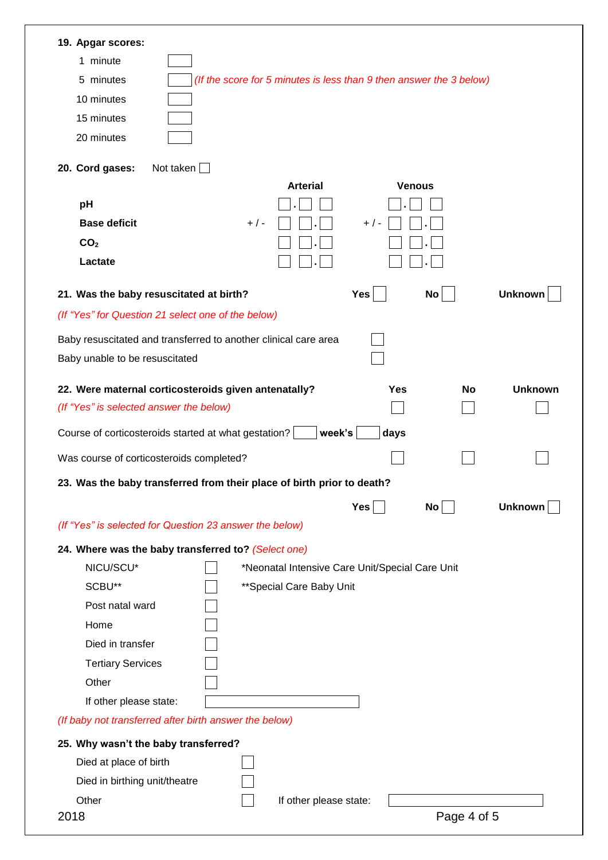| 19. Apgar scores:                                                                |                                                 |               |                 |                |
|----------------------------------------------------------------------------------|-------------------------------------------------|---------------|-----------------|----------------|
| 1 minute                                                                         |                                                 |               |                 |                |
| 5 minutes<br>(If the score for 5 minutes is less than 9 then answer the 3 below) |                                                 |               |                 |                |
| 10 minutes                                                                       |                                                 |               |                 |                |
| 15 minutes                                                                       |                                                 |               |                 |                |
| 20 minutes                                                                       |                                                 |               |                 |                |
|                                                                                  |                                                 |               |                 |                |
| Not taken $\square$<br>20. Cord gases:                                           |                                                 |               |                 |                |
|                                                                                  | <b>Arterial</b>                                 | <b>Venous</b> |                 |                |
| pH                                                                               |                                                 |               |                 |                |
| <b>Base deficit</b><br>$+$ / -                                                   |                                                 | $+$ / -       |                 |                |
| CO <sub>2</sub><br>Lactate                                                       |                                                 |               |                 |                |
|                                                                                  |                                                 |               |                 |                |
| 21. Was the baby resuscitated at birth?                                          |                                                 | Yes           | No              | <b>Unknown</b> |
| (If "Yes" for Question 21 select one of the below)                               |                                                 |               |                 |                |
| Baby resuscitated and transferred to another clinical care area                  |                                                 |               |                 |                |
| Baby unable to be resuscitated                                                   |                                                 |               |                 |                |
|                                                                                  |                                                 |               |                 |                |
| 22. Were maternal corticosteroids given antenatally?                             |                                                 | <b>Yes</b>    | No              | <b>Unknown</b> |
| (If "Yes" is selected answer the below)                                          |                                                 |               |                 |                |
| Course of corticosteroids started at what gestation?                             | week's                                          | days          |                 |                |
| Was course of corticosteroids completed?                                         |                                                 |               |                 |                |
| 23. Was the baby transferred from their place of birth prior to death?           |                                                 |               |                 |                |
|                                                                                  |                                                 | Yes           | No <sub>1</sub> | <b>Unknown</b> |
| (If "Yes" is selected for Question 23 answer the below)                          |                                                 |               |                 |                |
| 24. Where was the baby transferred to? (Select one)                              |                                                 |               |                 |                |
| NICU/SCU*                                                                        | *Neonatal Intensive Care Unit/Special Care Unit |               |                 |                |
| SCBU**                                                                           | ** Special Care Baby Unit                       |               |                 |                |
| Post natal ward                                                                  |                                                 |               |                 |                |
| Home                                                                             |                                                 |               |                 |                |
| Died in transfer                                                                 |                                                 |               |                 |                |
| <b>Tertiary Services</b>                                                         |                                                 |               |                 |                |
| Other                                                                            |                                                 |               |                 |                |
| If other please state:                                                           |                                                 |               |                 |                |
| (If baby not transferred after birth answer the below)                           |                                                 |               |                 |                |
| 25. Why wasn't the baby transferred?                                             |                                                 |               |                 |                |
| Died at place of birth                                                           |                                                 |               |                 |                |
| Died in birthing unit/theatre                                                    |                                                 |               |                 |                |
| Other                                                                            | If other please state:                          |               |                 |                |
| 2018                                                                             |                                                 |               | Page 4 of 5     |                |